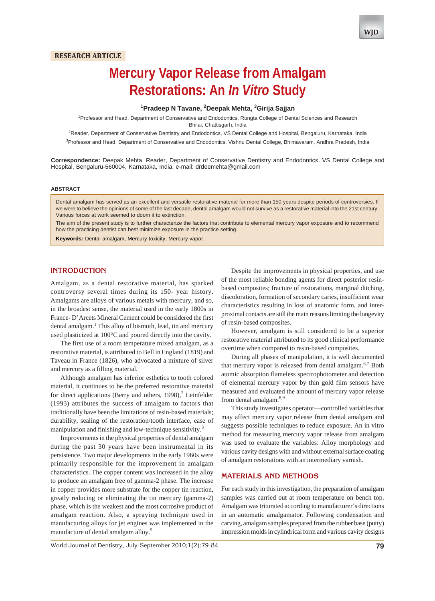# **Mercury Vapor Release from Amalgam Restorations: An** *In Vitro* **Study**

## **1 Pradeep N Tavane, 2 Deepak Mehta, 3 Girija Sajjan**

<sup>1</sup> Professor and Head, Department of Conservative and Endodontics, Rungta College of Dental Sciences and Research Bhilai, Chattisgarh, India

<sup>2</sup>Reader, Department of Conservative Dentistry and Endodontics, VS Dental College and Hospital, Bengaluru, Karnataka, India <sup>3</sup>Professor and Head, Department of Conservative and Endodontics, Vishnu Dental College, Bhimavaram, Andhra Pradesh, India

**Correspondence:** Deepak Mehta, Reader, Department of Conservative Dentistry and Endodontics, VS Dental College and Hospital, Bengaluru-560004, Karnataka, India, e-mail: drdeemehta@gmail.com

#### **ABSTRACT**

Dental amalgam has served as an excellent and versatile restorative material for more than 150 years despite periods of controversies. If we were to believe the opinions of some of the last decade, dental amalgam would not survive as a restorative material into the 21st century. Various forces at work seemed to doom it to extinction.

The aim of the present study is to further characterize the factors that contribute to elemental mercury vapor exposure and to recommend how the practicing dentist can best minimize exposure in the practice setting.

**Keywords:** Dental amalgam, Mercury toxicity, Mercury vapor.

## **INTRODUCTION**

Amalgam, as a dental restorative material, has sparked controversy several times during its 150- year history. Amalgams are alloys of various metals with mercury, and so, in the broadest sense, the material used in the early 1800s in France- D'Arcets Mineral Cement could be considered the first dental amalgam.<sup>1</sup> This alloy of bismuth, lead, tin and mercury used plasticized at 100°C and poured directly into the cavity.

The first use of a room temperature mixed amalgam, as a restorative material, is attributed to Bell in England (1819) and Taveau in France (1826), who advocated a mixture of silver and mercury as a filling material.

Although amalgam has inferior esthetics to tooth colored material, it continues to be the preferred restorative material for direct applications (Berry and others, 1998),<sup>2</sup> Leinfelder (1993) attributes the success of amalgam to factors that traditionally have been the limitations of resin-based materials; durability, sealing of the restoration/tooth interface, ease of manipulation and finishing and low-technique sensitivity.<sup>3</sup>

Improvements in the physical properties of dental amalgam during the past 30 years have been instrumental in its persistence. Two major developments in the early 1960s were primarily responsible for the improvement in amalgam characteristics. The copper content was increased in the alloy to produce an amalgam free of gamma-2 phase. The increase in copper provides more substrate for the copper tin reaction, greatly reducing or eliminating the tin mercury (gamma-2) phase, which is the weakest and the most corrosive product of amalgam reaction. Also, a spraying technique used in manufacturing alloys for jet engines was implemented in the manufacture of dental amalgam alloy.<sup>5</sup>

Despite the improvements in physical properties, and use of the most reliable bonding agents for direct posterior resinbased composites; fracture of restorations, marginal ditching, discoloration, formation of secondary caries, insufficient wear characteristics resulting in loss of anatomic form, and interproximal contacts are still the main reasons limiting the longevity of resin-based composites.

However, amalgam is still considered to be a superior restorative material attributed to its good clinical performance overtime when compared to resin-based composites.

During all phases of manipulation, it is well documented that mercury vapor is released from dental amalgam.<sup>6,7</sup> Both atomic absorption flameless spectrophotometer and detection of elemental mercury vapor by thin gold film sensors have measured and evaluated the amount of mercury vapor release from dental amalgam.<sup>8,9</sup>

This study investigates operator—controlled variables that may affect mercury vapor release from dental amalgam and suggests possible techniques to reduce exposure. An in vitro method for measuring mercury vapor release from amalgam was used to evaluate the variables: Alloy morphology and various cavity designs with and without external surface coating of amalgam restorations with an intermediary varnish.

## **MATERIALS AND METHODS**

For each study in this investigation, the preparation of amalgam samples was carried out at room temperature on bench top. Amalgam was triturated according to manufacturer's directions in an automatic amalgamator. Following condensation and carving, amalgam samples prepared from the rubber base (putty) impression molds in cylindrical form and various cavity designs

World Journal of Dentistry, July-September 2010;1(2):79-84 **79**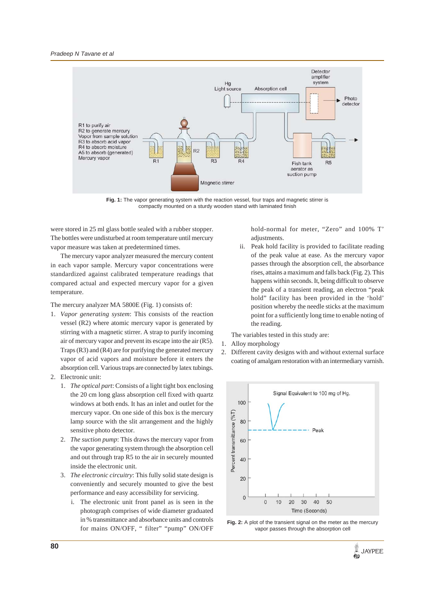

Fig. 1: The vapor generating system with the reaction vessel, four traps and magnetic stirrer is compactly mounted on a sturdy wooden stand with laminated finish

were stored in 25 ml glass bottle sealed with a rubber stopper. The bottles were undisturbed at room temperature until mercury vapor measure was taken at predetermined times.

The mercury vapor analyzer measured the mercury content in each vapor sample. Mercury vapor concentrations were standardized against calibrated temperature readings that compared actual and expected mercury vapor for a given temperature.

The mercury analyzer MA 5800E (Fig. 1) consists of:

- 1. *Vapor generating system*: This consists of the reaction vessel (R2) where atomic mercury vapor is generated by stirring with a magnetic stirrer. A strap to purify incoming air of mercury vapor and prevent its escape into the air (R5). Traps (R3) and (R4) are for purifying the generated mercury vapor of acid vapors and moisture before it enters the absorption cell. Various traps are connected by latex tubings.
- 2. Electronic unit:
	- 1. *The optical part*: Consists of a light tight box enclosing the 20 cm long glass absorption cell fixed with quartz windows at both ends. It has an inlet and outlet for the mercury vapor. On one side of this box is the mercury lamp source with the slit arrangement and the highly sensitive photo detector.
	- 2. *The suction pump*: This draws the mercury vapor from the vapor generating system through the absorption cell and out through trap R5 to the air in securely mounted inside the electronic unit.
	- 3. *The electronic circuitry*: This fully solid state design is conveniently and securely mounted to give the best performance and easy accessibility for servicing.
		- i. The electronic unit front panel as is seen in the photograph comprises of wide diameter graduated in % transmittance and absorbance units and controls for mains ON/OFF, " filter" "pump" ON/OFF

hold-normal for meter, "Zero" and 100% T' adjustments.

ii. Peak hold facility is provided to facilitate reading of the peak value at ease. As the mercury vapor passes through the absorption cell, the absorbance rises, attains a maximum and falls back (Fig. 2). This happens within seconds. It, being difficult to observe the peak of a transient reading, an electron "peak hold" facility has been provided in the 'hold' position whereby the needle sticks at the maximum point for a sufficiently long time to enable noting of the reading.

The variables tested in this study are:

- 1. Alloy morphology
- 2. Different cavity designs with and without external surface coating of amalgam restoration with an intermediary varnish.



**Fig. 2:** A plot of the transient signal on the meter as the mercury vapor passes through the absorption cell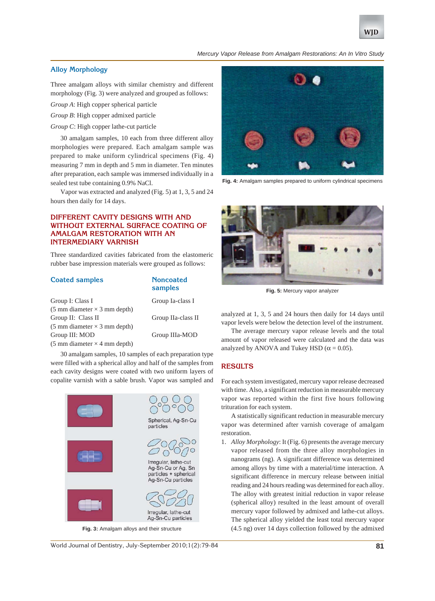

#### *Mercury Vapor Release from Amalgam Restorations: An In Vitro Study*

# **Alloy Morphology**

Three amalgam alloys with similar chemistry and different morphology (Fig. 3) were analyzed and grouped as follows:

*Group A*: High copper spherical particle

- *Group B*: High copper admixed particle
- *Group C*: High copper lathe-cut particle

30 amalgam samples, 10 each from three different alloy morphologies were prepared. Each amalgam sample was prepared to make uniform cylindrical specimens (Fig. 4) measuring 7 mm in depth and 5 mm in diameter. Ten minutes after preparation, each sample was immersed individually in a sealed test tube containing 0.9% NaCl.

Vapor was extracted and analyzed (Fig. 5) at 1, 3, 5 and 24 hours then daily for 14 days.

# **DIFFERENT CAVITY DESIGNS WITH AND WITHOUT EXTERNAL SURFACE COATING OF AMALGAM RESTORATION WITH AN INTERMEDIARY VARNISH**

Three standardized cavities fabricated from the elastomeric rubber base impression materials were grouped as follows:

**samples**

## **Coated samples Noncoated**

| Group I: Class I                                    | Group Ia-class I   |
|-----------------------------------------------------|--------------------|
| $(5 \text{ mm diameter} \times 3 \text{ mm depth})$ |                    |
| Group II: Class II                                  | Group IIa-class II |
| $(5 \text{ mm diameter} \times 3 \text{ mm depth})$ |                    |
| Group III: MOD                                      | Group IIIa-MOD     |
| $(5 \text{ mm diameter} \times 4 \text{ mm depth})$ |                    |
|                                                     |                    |

30 amalgam samples, 10 samples of each preparation type were filled with a spherical alloy and half of the samples from each cavity designs were coated with two uniform layers of copalite varnish with a sable brush. Vapor was sampled and





**Fig. 4:** Amalgam samples prepared to uniform cylindrical specimens



**Fig. 5:** Mercury vapor analyzer

analyzed at 1, 3, 5 and 24 hours then daily for 14 days until vapor levels were below the detection level of the instrument.

The average mercury vapor release levels and the total amount of vapor released were calculated and the data was analyzed by ANOVA and Tukey HSD ( $\alpha$  = 0.05).

## **RESULTS**

For each system investigated, mercury vapor release decreased with time. Also, a significant reduction in measurable mercury vapor was reported within the first five hours following trituration for each system.

A statistically significant reduction in measurable mercury vapor was determined after varnish coverage of amalgam restoration.

1. *Alloy Morphology*: It (Fig. 6) presents the average mercury vapor released from the three alloy morphologies in nanograms (ng). A significant difference was determined among alloys by time with a material/time interaction. A significant difference in mercury release between initial reading and 24 hours reading was determined for each alloy. The alloy with greatest initial reduction in vapor release (spherical alloy) resulted in the least amount of overall mercury vapor followed by admixed and lathe-cut alloys. The spherical alloy yielded the least total mercury vapor **Fig. 3:** Amalgam alloys and their structure (4.5 ng) over 14 days collection followed by the admixed

World Journal of Dentistry, July-September 2010;1(2):79-84 **81**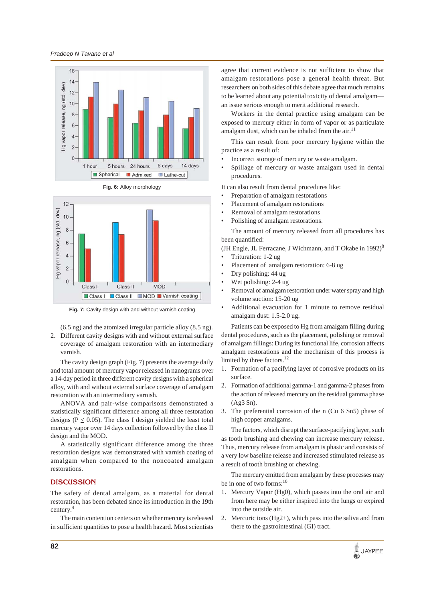*Pradeep N Tavane et al*





**Fig. 6:** Alloy morphology

**Fig. 7:** Cavity design with and without varnish coating

(6.5 ng) and the atomized irregular particle alloy (8.5 ng). 2. Different cavity designs with and without external surface coverage of amalgam restoration with an intermediary varnish.

The cavity design graph (Fig. 7) presents the average daily and total amount of mercury vapor released in nanograms over a 14-day period in three different cavity designs with a spherical alloy, with and without external surface coverage of amalgam restoration with an intermediary varnish.

ANOVA and pair-wise comparisons demonstrated a statistically significant difference among all three restoration designs ( $P \le 0.05$ ). The class I design yielded the least total mercury vapor over 14 days collection followed by the class II design and the MOD.

A statistically significant difference among the three restoration designs was demonstrated with varnish coating of amalgam when compared to the noncoated amalgam restorations.

## **DISCUSSION**

The safety of dental amalgam, as a material for dental restoration, has been debated since its introduction in the 19th century.4

The main contention centers on whether mercury is released in sufficient quantities to pose a health hazard. Most scientists

agree that current evidence is not sufficient to show that amalgam restorations pose a general health threat. But researchers on both sides of this debate agree that much remains to be learned about any potential toxicity of dental amalgam an issue serious enough to merit additional research.

Workers in the dental practice using amalgam can be exposed to mercury either in form of vapor or as particulate amalgam dust, which can be inhaled from the air. $^{11}$ 

This can result from poor mercury hygiene within the practice as a result of:

- Incorrect storage of mercury or waste amalgam.
- Spillage of mercury or waste amalgam used in dental procedures.

It can also result from dental procedures like:

- Preparation of amalgam restorations
- Placement of amalgam restorations
- Removal of amalgam restorations
- Polishing of amalgam restorations.

The amount of mercury released from all procedures has been quantified:

(JH Engle, JL Ferracane, J Wichmann, and T Okabe in  $1992)^8$ • Trituration: 1-2 ug

- Placement of amalgam restoration: 6-8 ug
- Dry polishing: 44 ug
- Wet polishing: 2-4 ug
- Removal of amalgam restoration under water spray and high volume suction: 15-20 ug
- Additional evacuation for 1 minute to remove residual amalgam dust: 1.5-2.0 ug.

Patients can be exposed to Hg from amalgam filling during dental procedures, such as the placement, polishing or removal of amalgam fillings: During its functional life, corrosion affects amalgam restorations and the mechanism of this process is limited by three factors.<sup>12</sup>

- 1. Formation of a pacifying layer of corrosive products on its surface.
- 2. Formation of additional gamma-1 and gamma-2 phases from the action of released mercury on the residual gamma phase (Ag3 Sn).
- 3. The preferential corrosion of the n (Cu 6 Sn5) phase of high copper amalgams.

The factors, which disrupt the surface-pacifying layer, such as tooth brushing and chewing can increase mercury release. Thus, mercury release from amalgam is phasic and consists of a very low baseline release and increased stimulated release as a result of tooth brushing or chewing.

The mercury emitted from amalgam by these processes may be in one of two forms: $10$ 

- 1. Mercury Vapor (Hg0), which passes into the oral air and from here may be either inspired into the lungs or expired into the outside air.
- 2. Mercuric ions (Hg2+), which pass into the saliva and from there to the gastrointestinal (GI) tract.

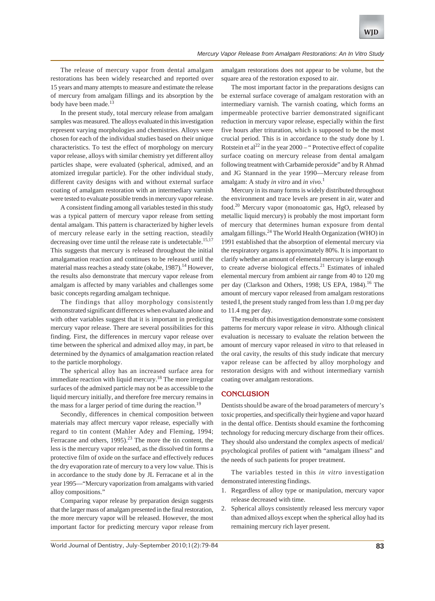The release of mercury vapor from dental amalgam restorations has been widely researched and reported over 15 years and many attempts to measure and estimate the release of mercury from amalgam fillings and its absorption by the body have been made.<sup>13</sup>

In the present study, total mercury release from amalgam samples was measured. The alloys evaluated in this investigation represent varying morphologies and chemistries. Alloys were chosen for each of the individual studies based on their unique characteristics. To test the effect of morphology on mercury vapor release, alloys with similar chemistry yet different alloy particles shape, were evaluated (spherical, admixed, and an atomized irregular particle). For the other individual study, different cavity designs with and without external surface coating of amalgam restoration with an intermediary varnish were tested to evaluate possible trends in mercury vapor release.

A consistent finding among all variables tested in this study was a typical pattern of mercury vapor release from setting dental amalgam. This pattern is characterized by higher levels of mercury release early in the setting reaction, steadily decreasing over time until the release rate is undetectable.<sup>15,17</sup> This suggests that mercury is released throughout the initial amalgamation reaction and continues to be released until the material mass reaches a steady state (okabe, 1987).<sup>14</sup> However, the results also demonstrate that mercury vapor release from amalgam is affected by many variables and challenges some basic concepts regarding amalgam technique.

The findings that alloy morphology consistently demonstrated significant differences when evaluated alone and with other variables suggest that it is important in predicting mercury vapor release. There are several possibilities for this finding. First, the differences in mercury vapor release over time between the spherical and admixed alloy may, in part, be determined by the dynamics of amalgamation reaction related to the particle morphology.

The spherical alloy has an increased surface area for immediate reaction with liquid mercury.<sup>18</sup> The more irregular surfaces of the admixed particle may not be as accessible to the liquid mercury initially, and therefore free mercury remains in the mass for a larger period of time during the reaction.<sup>19</sup>

Secondly, differences in chemical composition between materials may affect mercury vapor release, especially with regard to tin content (Mahler Adey and Fleming, 1994; Ferracane and others,  $1995$ .<sup>23</sup> The more the tin content, the less is the mercury vapor released, as the dissolved tin forms a protective film of oxide on the surface and effectively reduces the dry evaporation rate of mercury to a very low value. This is in accordance to the study done by JL Ferracane et al in the year 1995—"Mercury vaporization from amalgams with varied alloy compositions."

Comparing vapor release by preparation design suggests that the larger mass of amalgam presented in the final restoration, the more mercury vapor will be released. However, the most important factor for predicting mercury vapor release from

amalgam restorations does not appear to be volume, but the square area of the restoration exposed to air.

The most important factor in the preparations designs can be external surface coverage of amalgam restoration with an intermediary varnish. The varnish coating, which forms an impermeable protective barrier demonstrated significant reduction in mercury vapor release, especially within the first five hours after trituration, which is supposed to be the most crucial period. This is in accordance to the study done by I. Rotstein et al<sup>22</sup> in the year  $2000 -$  "Protective effect of copalite surface coating on mercury release from dental amalgam following treatment with Carbamide peroxide" and by R Ahmad and JG Stannard in the year 1990—Mercury release from amalgam: A study *in vitro* and *in vivo*. 1

Mercury in its many forms is widely distributed throughout the environment and trace levels are present in air, water and food.20 Mercury vapor (monoatomic gas, HgO, released by metallic liquid mercury) is probably the most important form of mercury that determines human exposure from dental amalgam fillings.<sup>24</sup> The World Health Organization (WHO) in 1991 established that the absorption of elemental mercury via the respiratory organs is approximately 80%. It is important to clarify whether an amount of elemental mercury is large enough to create adverse biological effects.<sup>21</sup> Estimates of inhaled elemental mercury from ambient air range from 40 to 120 mg per day (Clarkson and Others, 1998; US EPA, 1984).<sup>16</sup> The amount of mercury vapor released from amalgam restorations tested I, the present study ranged from less than 1.0 mg per day to 11.4 mg per day.

The results of this investigation demonstrate some consistent patterns for mercury vapor release *in vitro*. Although clinical evaluation is necessary to evaluate the relation between the amount of mercury vapor released *in vitro* to that released in the oral cavity, the results of this study indicate that mercury vapor release can be affected by alloy morphology and restoration designs with and without intermediary varnish coating over amalgam restorations.

### **CONCLUSION**

Dentists should be aware of the broad parameters of mercury's toxic properties, and specifically their hygiene and vapor hazard in the dental office. Dentists should examine the forthcoming technology for reducing mercury discharge from their offices. They should also understand the complex aspects of medical/ psychological profiles of patient with "amalgam illness" and the needs of such patients for proper treatment.

The variables tested in this *in vitro* investigation demonstrated interesting findings.

- 1. Regardless of alloy type or manipulation, mercury vapor release decreased with time.
- 2. Spherical alloys consistently released less mercury vapor than admixed alloys except when the spherical alloy had its remaining mercury rich layer present.